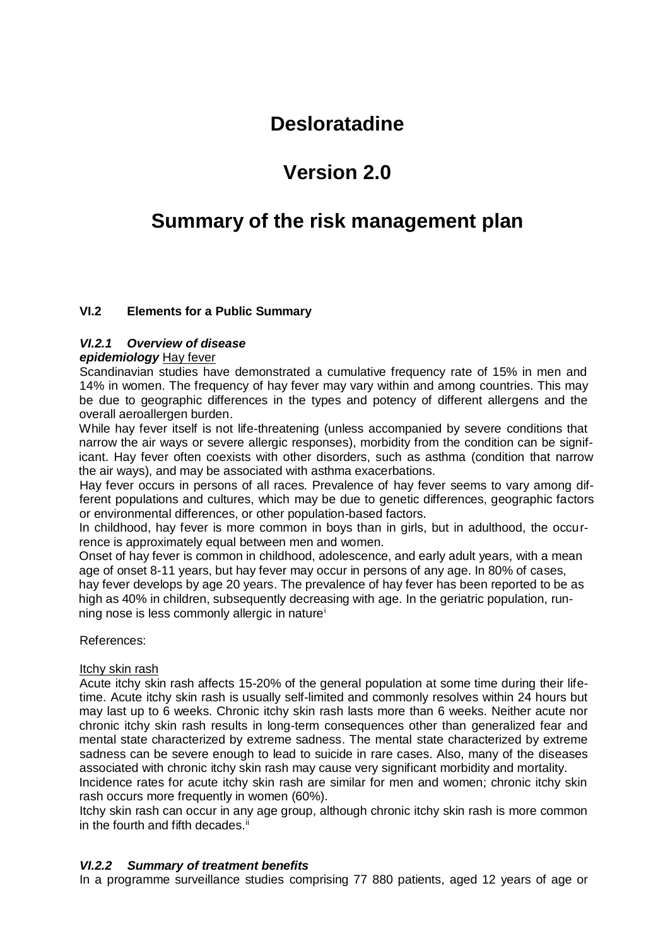## **Desloratadine**

# **Version 2.0**

# **Summary of the risk management plan**

## **VI.2 Elements for a Public Summary**

#### *VI.2.1 Overview of disease*

#### *epidemiology* Hay fever

Scandinavian studies have demonstrated a cumulative frequency rate of 15% in men and 14% in women. The frequency of hay fever may vary within and among countries. This may be due to geographic differences in the types and potency of different allergens and the overall aeroallergen burden.

While hay fever itself is not life-threatening (unless accompanied by severe conditions that narrow the air ways or severe allergic responses), morbidity from the condition can be significant. Hay fever often coexists with other disorders, such as asthma (condition that narrow the air ways), and may be associated with asthma exacerbations.

Hay fever occurs in persons of all races. Prevalence of hay fever seems to vary among different populations and cultures, which may be due to genetic differences, geographic factors or environmental differences, or other population-based factors.

In childhood, hay fever is more common in boys than in girls, but in adulthood, the occurrence is approximately equal between men and women.

Onset of hay fever is common in childhood, adolescence, and early adult years, with a mean age of onset 8-11 years, but hay fever may occur in persons of any age. In 80% of cases, hay fever develops by age 20 years. The prevalence of hay fever has been reported to be as high as 40% in children, subsequently decreasing with age. In the geriatric population, running nose is less commonly allergic in naturei

References:

#### Itchy skin rash

Acute itchy skin rash affects 15-20% of the general population at some time during their lifetime. Acute itchy skin rash is usually self-limited and commonly resolves within 24 hours but may last up to 6 weeks. Chronic itchy skin rash lasts more than 6 weeks. Neither acute nor chronic itchy skin rash results in long-term consequences other than generalized fear and mental state characterized by extreme sadness. The mental state characterized by extreme sadness can be severe enough to lead to suicide in rare cases. Also, many of the diseases associated with chronic itchy skin rash may cause very significant morbidity and mortality.

Incidence rates for acute itchy skin rash are similar for men and women; chronic itchy skin rash occurs more frequently in women (60%).

Itchy skin rash can occur in any age group, although chronic itchy skin rash is more common in the fourth and fifth decades.<sup>ii</sup>

#### *VI.2.2 Summary of treatment benefits*

In a programme surveillance studies comprising 77 880 patients, aged 12 years of age or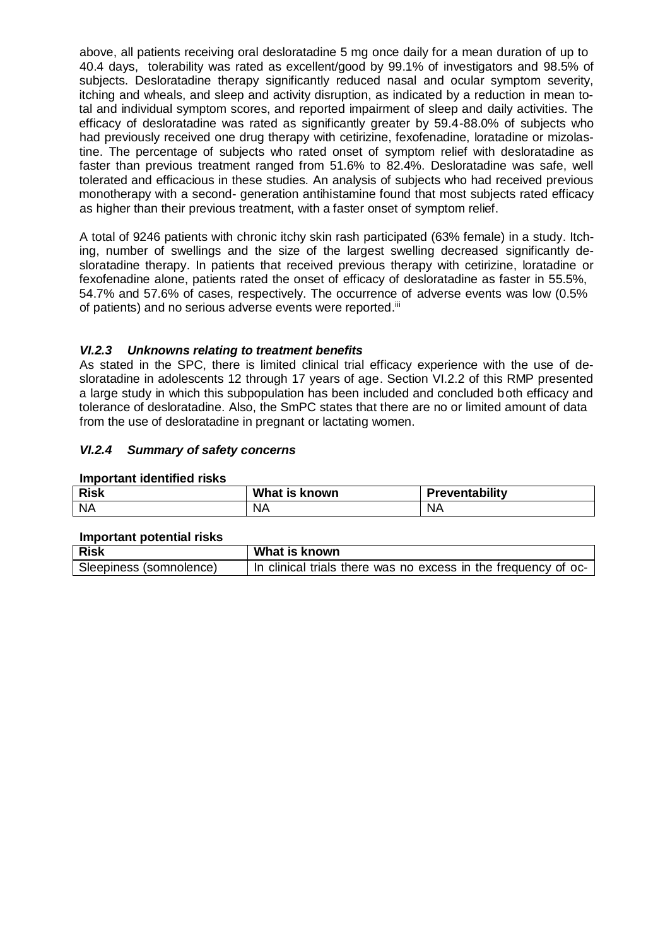above, all patients receiving oral desloratadine 5 mg once daily for a mean duration of up to 40.4 days, tolerability was rated as excellent/good by 99.1% of investigators and 98.5% of subjects. Desloratadine therapy significantly reduced nasal and ocular symptom severity, itching and wheals, and sleep and activity disruption, as indicated by a reduction in mean total and individual symptom scores, and reported impairment of sleep and daily activities. The efficacy of desloratadine was rated as significantly greater by 59.4-88.0% of subjects who had previously received one drug therapy with cetirizine, fexofenadine, loratadine or mizolastine. The percentage of subjects who rated onset of symptom relief with desloratadine as faster than previous treatment ranged from 51.6% to 82.4%. Desloratadine was safe, well tolerated and efficacious in these studies. An analysis of subjects who had received previous monotherapy with a second- generation antihistamine found that most subjects rated efficacy as higher than their previous treatment, with a faster onset of symptom relief.

A total of 9246 patients with chronic itchy skin rash participated (63% female) in a study. Itching, number of swellings and the size of the largest swelling decreased significantly desloratadine therapy. In patients that received previous therapy with cetirizine, loratadine or fexofenadine alone, patients rated the onset of efficacy of desloratadine as faster in 55.5%, 54.7% and 57.6% of cases, respectively. The occurrence of adverse events was low (0.5% of patients) and no serious adverse events were reported."

### *VI.2.3 Unknowns relating to treatment benefits*

As stated in the SPC, there is limited clinical trial efficacy experience with the use of desloratadine in adolescents 12 through 17 years of age. Section VI.2.2 of this RMP presented a large study in which this subpopulation has been included and concluded both efficacy and tolerance of desloratadine. Also, the SmPC states that there are no or limited amount of data from the use of desloratadine in pregnant or lactating women.

### *VI.2.4 Summary of safety concerns*

#### **Important identified risks**

| <b>Risk</b> | What is known | 'reventability |
|-------------|---------------|----------------|
| <b>NA</b>   | ΝA            | ΝA             |

#### **Important potential risks**

| <b>Risk</b>             | What is known                                                  |
|-------------------------|----------------------------------------------------------------|
| Sleepiness (somnolence) | In clinical trials there was no excess in the frequency of oc- |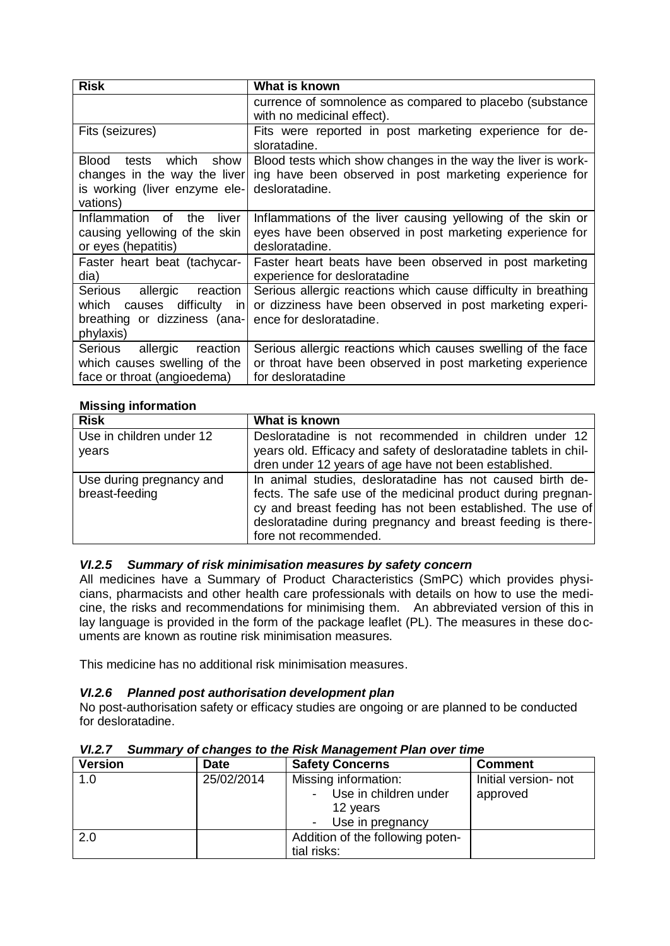| <b>Risk</b>                                                                                                  | What is known                                                                                                                                          |
|--------------------------------------------------------------------------------------------------------------|--------------------------------------------------------------------------------------------------------------------------------------------------------|
|                                                                                                              | currence of somnolence as compared to placebo (substance<br>with no medicinal effect).                                                                 |
| Fits (seizures)                                                                                              | Fits were reported in post marketing experience for de-<br>sloratadine.                                                                                |
| which<br>Blood<br>show<br>tests<br>changes in the way the liver<br>is working (liver enzyme ele-<br>vations) | Blood tests which show changes in the way the liver is work-<br>ing have been observed in post marketing experience for<br>desloratadine.              |
| Inflammation<br>of<br>the<br>liver<br>causing yellowing of the skin<br>or eyes (hepatitis)                   | Inflammations of the liver causing yellowing of the skin or<br>eyes have been observed in post marketing experience for<br>desloratadine.              |
| Faster heart beat (tachycar-<br>dia)                                                                         | Faster heart beats have been observed in post marketing<br>experience for desloratadine                                                                |
| Serious allergic reaction<br>which causes difficulty in<br>breathing or dizziness (ana-<br>phylaxis)         | Serious allergic reactions which cause difficulty in breathing<br>or dizziness have been observed in post marketing experi-<br>ence for desloratadine. |
| Serious<br>reaction<br>allergic<br>which causes swelling of the<br>face or throat (angioedema)               | Serious allergic reactions which causes swelling of the face<br>or throat have been observed in post marketing experience<br>for desloratadine         |

### **Missing information**

| <b>Risk</b>              | What is known                                                    |
|--------------------------|------------------------------------------------------------------|
| Use in children under 12 | Desloratadine is not recommended in children under 12            |
| years                    | years old. Efficacy and safety of desloratadine tablets in chil- |
|                          | dren under 12 years of age have not been established.            |
| Use during pregnancy and | In animal studies, desloratadine has not caused birth de-        |
| breast-feeding           | fects. The safe use of the medicinal product during pregnan-     |
|                          | cy and breast feeding has not been established. The use of       |
|                          | desloratadine during pregnancy and breast feeding is there-      |
|                          | fore not recommended.                                            |

## *VI.2.5 Summary of risk minimisation measures by safety concern*

All medicines have a Summary of Product Characteristics (SmPC) which provides physicians, pharmacists and other health care professionals with details on how to use the medicine, the risks and recommendations for minimising them. An abbreviated version of this in lay language is provided in the form of the package leaflet (PL). The measures in these documents are known as routine risk minimisation measures.

This medicine has no additional risk minimisation measures.

#### *VI.2.6 Planned post authorisation development plan*

No post-authorisation safety or efficacy studies are ongoing or are planned to be conducted for desloratadine.

| <b>Version</b> | <b>Date</b> | <b>Safety Concerns</b>           | <b>Comment</b>       |
|----------------|-------------|----------------------------------|----------------------|
| 1.0            | 25/02/2014  | Missing information:             | Initial version- not |
|                |             | Use in children under            | approved             |
|                |             | 12 years                         |                      |
|                |             | - Use in pregnancy               |                      |
| 2.0            |             | Addition of the following poten- |                      |
|                |             | tial risks:                      |                      |

### *VI.2.7 Summary of changes to the Risk Management Plan over time*